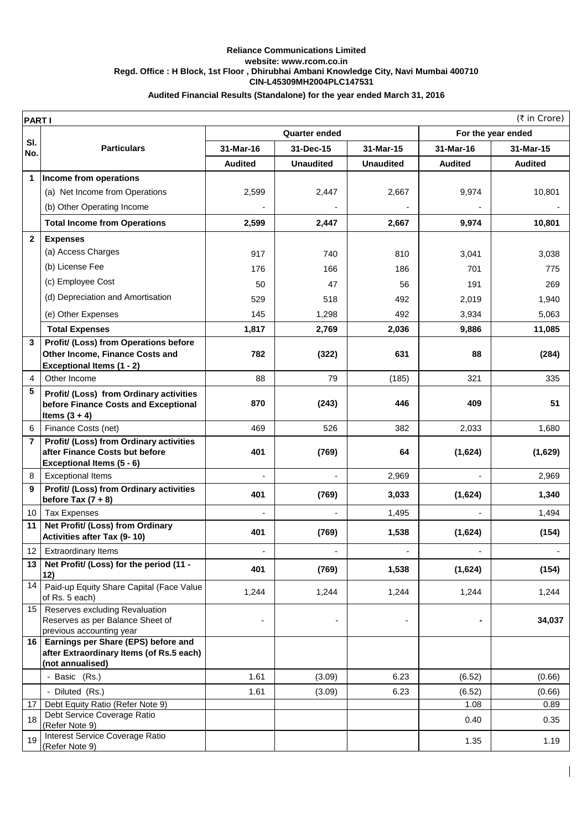## **CIN-L45309MH2004PLC147531 Reliance Communications Limited website: www.rcom.co.in Regd. Office : H Block, 1st Floor , Dhirubhai Ambani Knowledge City, Navi Mumbai 400710 Audited Financial Results (Standalone) for the year ended March 31, 2016**

|                | (₹ in Crore)<br><b>PARTI</b>                                                    |                      |                  |                  |                    |                |  |  |
|----------------|---------------------------------------------------------------------------------|----------------------|------------------|------------------|--------------------|----------------|--|--|
|                |                                                                                 | <b>Quarter ended</b> |                  |                  | For the year ended |                |  |  |
| SI.<br>No.     | <b>Particulars</b>                                                              | 31-Mar-16            | 31-Dec-15        | 31-Mar-15        | 31-Mar-16          | 31-Mar-15      |  |  |
|                |                                                                                 | <b>Audited</b>       | <b>Unaudited</b> | <b>Unaudited</b> | <b>Audited</b>     | <b>Audited</b> |  |  |
| 1              | Income from operations                                                          |                      |                  |                  |                    |                |  |  |
|                | (a) Net Income from Operations                                                  | 2,599                | 2,447            | 2,667            | 9,974              | 10,801         |  |  |
|                | (b) Other Operating Income                                                      |                      |                  |                  |                    |                |  |  |
|                | <b>Total Income from Operations</b>                                             | 2,599                | 2,447            | 2,667            | 9,974              | 10,801         |  |  |
| $\mathbf{2}$   | <b>Expenses</b>                                                                 |                      |                  |                  |                    |                |  |  |
|                | (a) Access Charges                                                              | 917                  | 740              | 810              | 3,041              | 3,038          |  |  |
|                | (b) License Fee                                                                 | 176                  | 166              | 186              | 701                | 775            |  |  |
|                | (c) Employee Cost                                                               | 50                   | 47               | 56               | 191                | 269            |  |  |
|                | (d) Depreciation and Amortisation                                               | 529                  | 518              | 492              | 2,019              | 1,940          |  |  |
|                | (e) Other Expenses                                                              | 145                  | 1,298            | 492              | 3,934              | 5,063          |  |  |
|                | <b>Total Expenses</b>                                                           | 1,817                | 2,769            | 2,036            | 9,886              | 11,085         |  |  |
| 3              | Profit/ (Loss) from Operations before                                           |                      |                  |                  |                    |                |  |  |
|                | Other Income, Finance Costs and                                                 | 782                  | (322)            | 631              | 88                 | (284)          |  |  |
| $\overline{4}$ | <b>Exceptional Items (1 - 2)</b><br>Other Income                                | 88                   | 79               | (185)            | 321                | 335            |  |  |
| 5              |                                                                                 |                      |                  |                  |                    |                |  |  |
|                | Profit/ (Loss) from Ordinary activities<br>before Finance Costs and Exceptional | 870                  | (243)            | 446              | 409                | 51             |  |  |
|                | Items $(3 + 4)$                                                                 |                      |                  |                  |                    |                |  |  |
| 6              | Finance Costs (net)                                                             | 469                  | 526              | 382              | 2,033              | 1,680          |  |  |
| 7              | Profit/ (Loss) from Ordinary activities<br>after Finance Costs but before       | 401                  | (769)            | 64               | (1,624)            | (1,629)        |  |  |
|                | Exceptional Items (5 - 6)                                                       |                      |                  |                  |                    |                |  |  |
| 8              | <b>Exceptional Items</b>                                                        |                      |                  | 2,969            |                    | 2,969          |  |  |
| 9              | <b>Profit/ (Loss) from Ordinary activities</b><br>before Tax $(7 + 8)$          | 401                  | (769)            | 3,033            | (1,624)            | 1,340          |  |  |
| 10             | <b>Tax Expenses</b>                                                             |                      |                  | 1,495            |                    | 1,494          |  |  |
| 11             | Net Profit/ (Loss) from Ordinary<br>Activities after Tax (9-10)                 | 401                  | (769)            | 1,538            | (1,624)            | (154)          |  |  |
|                | 12   Extraordinary Items                                                        | $\overline{a}$       | ٠                | $\overline{a}$   | ÷                  |                |  |  |
| 13             | Net Profit/ (Loss) for the period (11 -                                         |                      |                  |                  |                    |                |  |  |
|                | 12)                                                                             | 401                  | (769)            | 1,538            | (1,624)            | (154)          |  |  |
| 14             | Paid-up Equity Share Capital (Face Value<br>of Rs. 5 each)                      | 1,244                | 1,244            | 1,244            | 1,244              | 1,244          |  |  |
|                | 15   Reserves excluding Revaluation                                             |                      |                  |                  |                    |                |  |  |
|                | Reserves as per Balance Sheet of<br>previous accounting year                    |                      |                  |                  |                    | 34,037         |  |  |
|                | 16 Earnings per Share (EPS) before and                                          |                      |                  |                  |                    |                |  |  |
|                | after Extraordinary Items (of Rs.5 each)<br>(not annualised)                    |                      |                  |                  |                    |                |  |  |
|                | - Basic (Rs.)                                                                   | 1.61                 | (3.09)           | 6.23             | (6.52)             | (0.66)         |  |  |
|                | - Diluted (Rs.)                                                                 | 1.61                 | (3.09)           | 6.23             | (6.52)             | (0.66)         |  |  |
| 17             | Debt Equity Ratio (Refer Note 9)                                                |                      |                  |                  | 1.08               | 0.89           |  |  |
| 18             | Debt Service Coverage Ratio<br>(Refer Note 9)                                   |                      |                  |                  | 0.40               | 0.35           |  |  |
| 19             | Interest Service Coverage Ratio<br>(Refer Note 9)                               |                      |                  |                  | 1.35               | 1.19           |  |  |
|                |                                                                                 |                      |                  |                  |                    |                |  |  |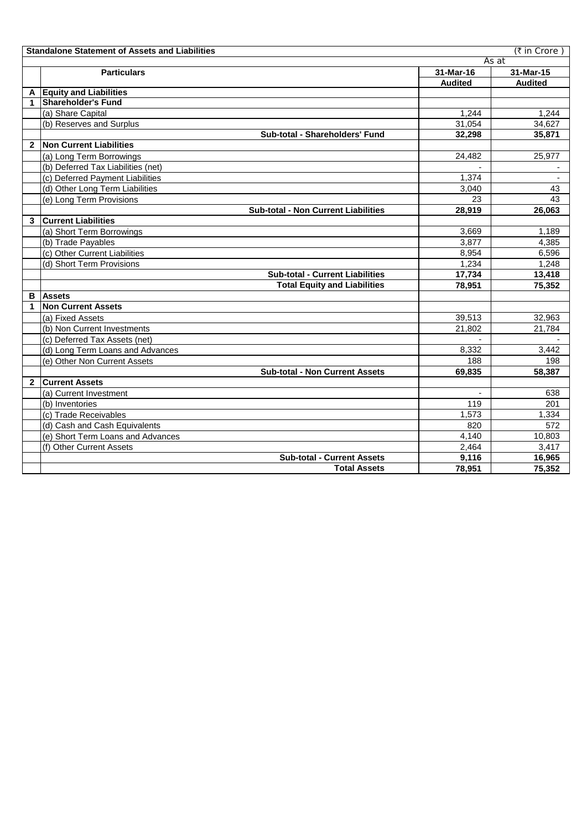|              | (₹ in Crore)<br><b>Standalone Statement of Assets and Liabilities</b> |                          |                |  |  |
|--------------|-----------------------------------------------------------------------|--------------------------|----------------|--|--|
|              |                                                                       |                          | As at          |  |  |
|              | <b>Particulars</b>                                                    | 31-Mar-16                | 31-Mar-15      |  |  |
|              |                                                                       | <b>Audited</b>           | <b>Audited</b> |  |  |
|              | A Equity and Liabilities                                              |                          |                |  |  |
|              | <b>Shareholder's Fund</b>                                             |                          |                |  |  |
|              | (a) Share Capital                                                     | 1.244                    | 1,244          |  |  |
|              | (b) Reserves and Surplus                                              | 31,054                   | 34,627         |  |  |
|              | Sub-total - Shareholders' Fund                                        | 32,298                   | 35,871         |  |  |
| $\mathbf{2}$ | <b>Non Current Liabilities</b>                                        |                          |                |  |  |
|              | (a) Long Term Borrowings                                              | 24,482                   | 25,977         |  |  |
|              | (b) Deferred Tax Liabilities (net)                                    |                          |                |  |  |
|              | (c) Deferred Payment Liabilities                                      | 1,374                    |                |  |  |
|              | (d) Other Long Term Liabilities                                       | 3,040                    | 43             |  |  |
|              | (e) Long Term Provisions                                              | 23                       | 43             |  |  |
|              | <b>Sub-total - Non Current Liabilities</b>                            | 28,919                   | 26,063         |  |  |
| 3            | <b>Current Liabilities</b>                                            |                          |                |  |  |
|              | (a) Short Term Borrowings                                             | 3,669                    | 1,189          |  |  |
|              | (b) Trade Payables                                                    | 3.877                    | 4,385          |  |  |
|              | (c) Other Current Liabilities                                         | 8,954                    | 6,596          |  |  |
|              | (d) Short Term Provisions                                             | 1,234                    | 1,248          |  |  |
|              | <b>Sub-total - Current Liabilities</b>                                | 17,734                   | 13,418         |  |  |
|              | <b>Total Equity and Liabilities</b>                                   | 78,951                   | 75,352         |  |  |
| в            | <b>Assets</b>                                                         |                          |                |  |  |
| 1            | <b>Non Current Assets</b>                                             |                          |                |  |  |
|              | (a) Fixed Assets                                                      | 39.513                   | 32,963         |  |  |
|              | (b) Non Current Investments                                           | 21,802                   | 21,784         |  |  |
|              | (c) Deferred Tax Assets (net)                                         |                          |                |  |  |
|              | (d) Long Term Loans and Advances                                      | 8,332                    | 3,442          |  |  |
|              | (e) Other Non Current Assets                                          | 188                      | 198            |  |  |
|              | <b>Sub-total - Non Current Assets</b>                                 | 69,835                   | 58,387         |  |  |
| $\mathbf{2}$ | <b>Current Assets</b>                                                 |                          |                |  |  |
|              | (a) Current Investment                                                | $\overline{\phantom{a}}$ | 638            |  |  |
|              | (b) Inventories                                                       | 119                      | 201            |  |  |
|              | (c) Trade Receivables                                                 | 1,573                    | 1,334          |  |  |
|              | (d) Cash and Cash Equivalents                                         | 820                      | 572            |  |  |
|              | (e) Short Term Loans and Advances                                     | 4.140                    | 10,803         |  |  |
|              | (f) Other Current Assets                                              | 2,464                    | 3,417          |  |  |
|              | <b>Sub-total - Current Assets</b>                                     | 9,116                    | 16,965         |  |  |
|              | <b>Total Assets</b>                                                   | 78,951                   | 75,352         |  |  |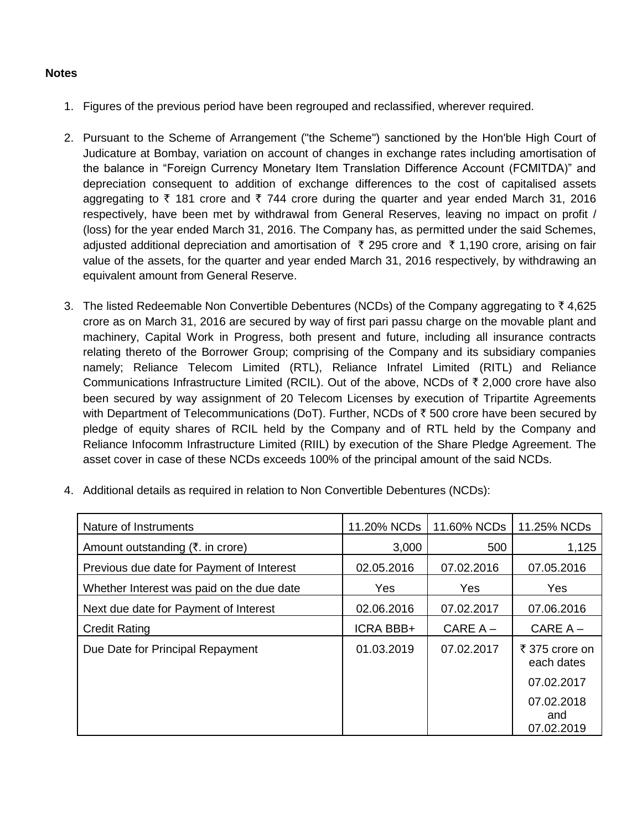## **Notes**

- 1. Figures of the previous period have been regrouped and reclassified, wherever required.
- 2. Pursuant to the Scheme of Arrangement ("the Scheme") sanctioned by the Hon'ble High Court of Judicature at Bombay, variation on account of changes in exchange rates including amortisation of the balance in "Foreign Currency Monetary Item Translation Difference Account (FCMITDA)" and depreciation consequent to addition of exchange differences to the cost of capitalised assets aggregating to  $\bar{\tau}$  181 crore and  $\bar{\tau}$  744 crore during the quarter and year ended March 31, 2016 respectively, have been met by withdrawal from General Reserves, leaving no impact on profit / (loss) for the year ended March 31, 2016. The Company has, as permitted under the said Schemes, adjusted additional depreciation and amortisation of ₹ 295 crore and ₹ 1,190 crore, arising on fair value of the assets, for the quarter and year ended March 31, 2016 respectively, by withdrawing an equivalent amount from General Reserve.
- 3. The listed Redeemable Non Convertible Debentures (NCDs) of the Company aggregating to  $\bar{z}$  4,625 crore as on March 31, 2016 are secured by way of first pari passu charge on the movable plant and machinery, Capital Work in Progress, both present and future, including all insurance contracts relating thereto of the Borrower Group; comprising of the Company and its subsidiary companies namely; Reliance Telecom Limited (RTL), Reliance Infratel Limited (RITL) and Reliance Communications Infrastructure Limited (RCIL). Out of the above, NCDs of  $\bar{\tau}$  2,000 crore have also been secured by way assignment of 20 Telecom Licenses by execution of Tripartite Agreements with Department of Telecommunications (DoT). Further, NCDs of  $\bar{\tau}$  500 crore have been secured by pledge of equity shares of RCIL held by the Company and of RTL held by the Company and Reliance Infocomm Infrastructure Limited (RIIL) by execution of the Share Pledge Agreement. The asset cover in case of these NCDs exceeds 100% of the principal amount of the said NCDs.

| Nature of Instruments                              | 11.20% NCDs      | 11.60% NCDs | 11.25% NCDs                     |
|----------------------------------------------------|------------------|-------------|---------------------------------|
| Amount outstanding $(\overline{\tau})$ . in crore) | 3,000            | 500         | 1,125                           |
| Previous due date for Payment of Interest          | 02.05.2016       | 07.02.2016  | 07.05.2016                      |
| Whether Interest was paid on the due date          | Yes              | <b>Yes</b>  | Yes                             |
| Next due date for Payment of Interest              | 02.06.2016       | 07.02.2017  | 07.06.2016                      |
| <b>Credit Rating</b>                               | <b>ICRA BBB+</b> | $CAREA -$   | $CAREA -$                       |
| Due Date for Principal Repayment                   | 01.03.2019       | 07.02.2017  | ₹ 375 crore on<br>each dates    |
|                                                    |                  |             | 07.02.2017                      |
|                                                    |                  |             | 07.02.2018<br>and<br>07.02.2019 |

4. Additional details as required in relation to Non Convertible Debentures (NCDs):